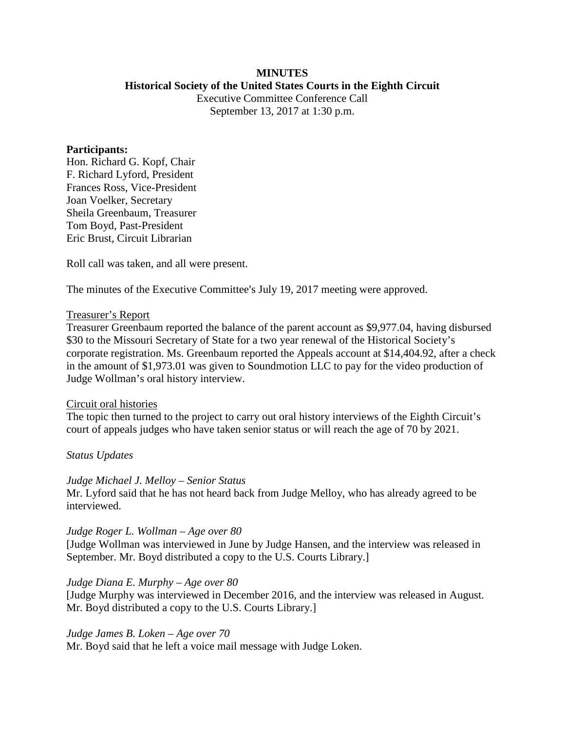### **MINUTES Historical Society of the United States Courts in the Eighth Circuit**

Executive Committee Conference Call September 13, 2017 at 1:30 p.m.

#### **Participants:**

Hon. Richard G. Kopf, Chair F. Richard Lyford, President Frances Ross, Vice-President Joan Voelker, Secretary Sheila Greenbaum, Treasurer Tom Boyd, Past-President Eric Brust, Circuit Librarian

Roll call was taken, and all were present.

The minutes of the Executive Committee's July 19, 2017 meeting were approved.

#### Treasurer's Report

Treasurer Greenbaum reported the balance of the parent account as \$9,977.04, having disbursed \$30 to the Missouri Secretary of State for a two year renewal of the Historical Society's corporate registration. Ms. Greenbaum reported the Appeals account at \$14,404.92, after a check in the amount of \$1,973.01 was given to Soundmotion LLC to pay for the video production of Judge Wollman's oral history interview.

#### Circuit oral histories

The topic then turned to the project to carry out oral history interviews of the Eighth Circuit's court of appeals judges who have taken senior status or will reach the age of 70 by 2021.

#### *Status Updates*

*Judge Michael J. Melloy – Senior Status*

Mr. Lyford said that he has not heard back from Judge Melloy, who has already agreed to be interviewed.

#### *Judge Roger L. Wollman – Age over 80*

[Judge Wollman was interviewed in June by Judge Hansen, and the interview was released in September. Mr. Boyd distributed a copy to the U.S. Courts Library.]

#### *Judge Diana E. Murphy – Age over 80*

[Judge Murphy was interviewed in December 2016, and the interview was released in August. Mr. Boyd distributed a copy to the U.S. Courts Library.]

#### *Judge James B. Loken – Age over 70*

Mr. Boyd said that he left a voice mail message with Judge Loken.